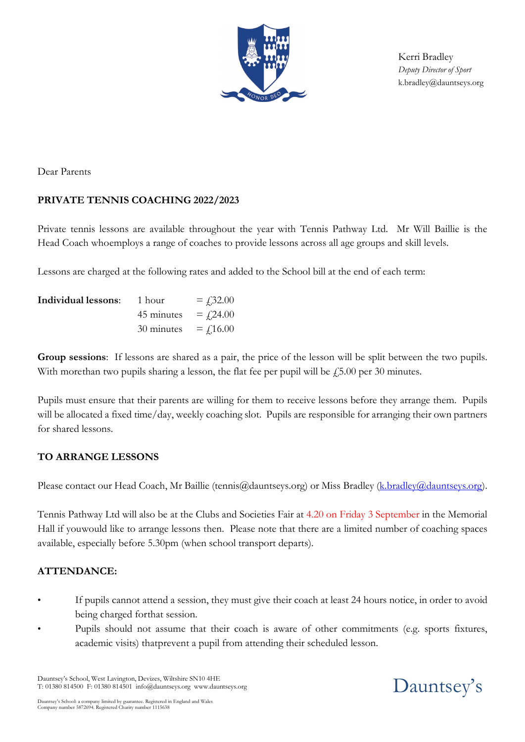

Kerri Bradley *Deputy Director of Sport* [k.bradley@dauntseys.org](mailto:k.bradley@dauntseys.org)

Dear Parents

## **PRIVATE TENNIS COACHING 2022/2023**

Private tennis lessons are available throughout the year with Tennis Pathway Ltd. Mr Will Baillie is the Head Coach whoemploys a range of coaches to provide lessons across all age groups and skill levels.

Lessons are charged at the following rates and added to the School bill at the end of each term:

| Individual lessons: | 1 hour     | $=$ £ 2.00    |
|---------------------|------------|---------------|
|                     | 45 minutes | $=$ $f$ 24.00 |
|                     | 30 minutes | $=$ $f$ 16.00 |

**Group sessions**: If lessons are shared as a pair, the price of the lesson will be split between the two pupils. With more than two pupils sharing a lesson, the flat fee per pupil will be  $\ddot{f}5.00$  per 30 minutes.

Pupils must ensure that their parents are willing for them to receive lessons before they arrange them. Pupils will be allocated a fixed time/day, weekly coaching slot. Pupils are responsible for arranging their own partners for shared lessons.

## **TO ARRANGE LESSONS**

Please contact our Head Coach, Mr Baillie (tennis@dauntseys.org) or Miss Bradley [\(k.bradley@dauntseys.org\)](mailto:k.bradley@dauntseys.org).

Tennis Pathway Ltd will also be at the Clubs and Societies Fair at 4.20 on Friday 3 September in the Memorial Hall if youwould like to arrange lessons then. Please note that there are a limited number of coaching spaces available, especially before 5.30pm (when school transport departs).

## **ATTENDANCE:**

- If pupils cannot attend a session, they must give their coach at least 24 hours notice, in order to avoid being charged forthat session.
- Pupils should not assume that their coach is aware of other commitments (e.g. sports fixtures, academic visits) thatprevent a pupil from attending their scheduled lesson.

Dauntsey's School, West Lavington, Devizes, Wiltshire SN10 4HE T: 01380 814500 F: 01380 814501 info@dauntseys.org www.dauntseys.org